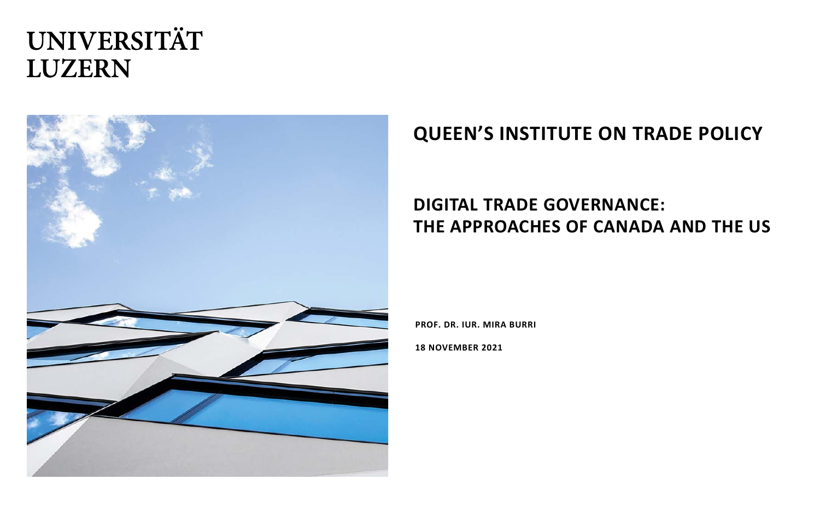

## **QUEEN'S INSTITUTE ON TRADE POLICY**

#### **DIGITAL TRADE GOVERNANCE: THE APPROACHES OF CANADA AND THE US**

**PROF. DR. IUR. MIRA BURRI**

**18 NOVEMBER 2021**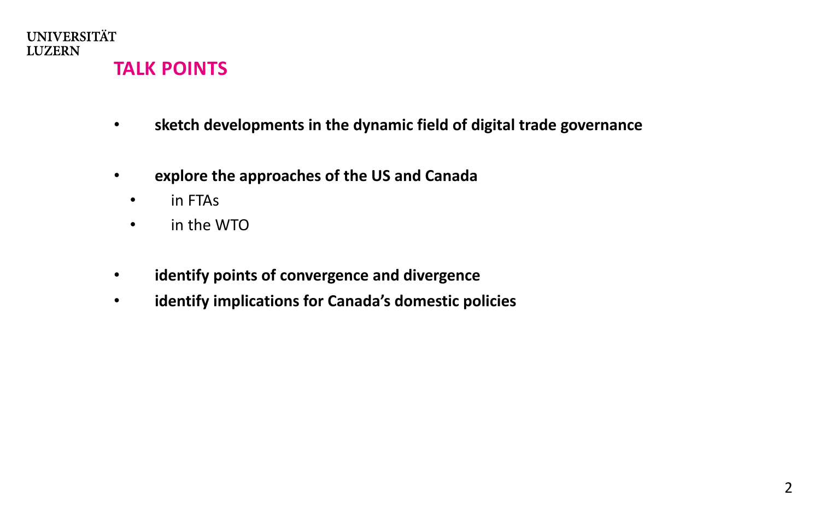

## **TALK POINTS**

- **sketch developments in the dynamic field of digital trade governance**
- **explore the approaches of the US and Canada**
	- in FTAs
	- in the WTO
- **identify points of convergence and divergence**
- **identify implications for Canada's domestic policies**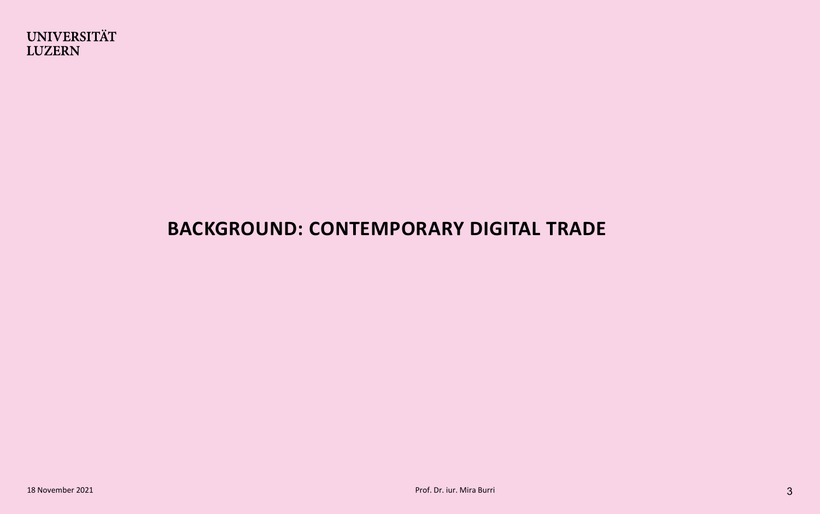## **BACKGROUND: CONTEMPORARY DIGITAL TRADE**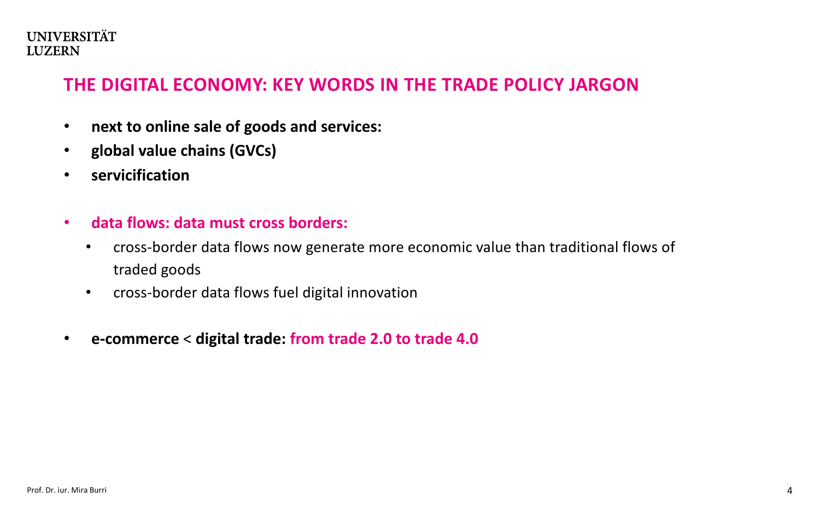#### **THE DIGITAL ECONOMY: KEY WORDS IN THE TRADE POLICY JARGON**

- **next to online sale of goods and services:**
- **global value chains (GVCs)**
- **servicification**
- **data flows: data must cross borders:** 
	- cross-border data flows now generate more economic value than traditional flows of traded goods
	- cross-border data flows fuel digital innovation
- **e-commerce** < **digital trade: from trade 2.0 to trade 4.0**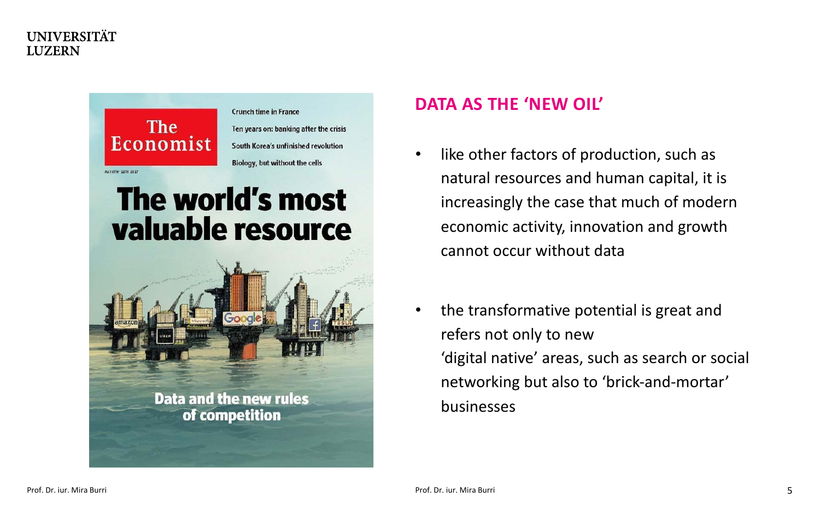

#### **DATA AS THE 'NEW OIL'**

- like other factors of production, such as natural resources and human capital, it is increasingly the case that much of modern economic activity, innovation and growth cannot occur without data
- the transformative potential is great and refers not only to new 'digital native' areas, such as search or social networking but also to 'brick-and-mortar' businesses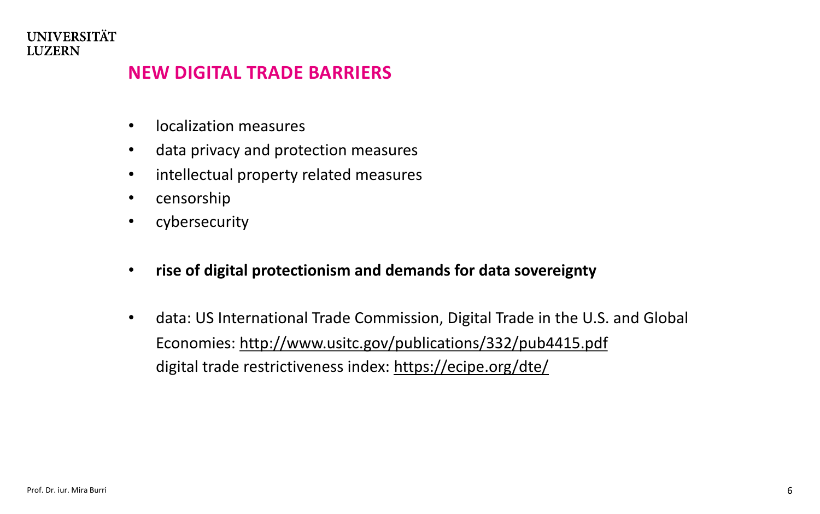#### **NEW DIGITAL TRADE BARRIERS**

- localization measures
- data privacy and protection measures
- intellectual property related measures
- censorship
- cybersecurity
- **rise of digital protectionism and demands for data sovereignty**
- data: US International Trade Commission, Digital Trade in the U.S. and Global Economies: [http://www.usitc.gov/publications/332/pub4415.pdf](http://www.usitc.gov/publications/332/pub4415.pdf%20/)  digital trade restrictiveness index: <https://ecipe.org/dte/>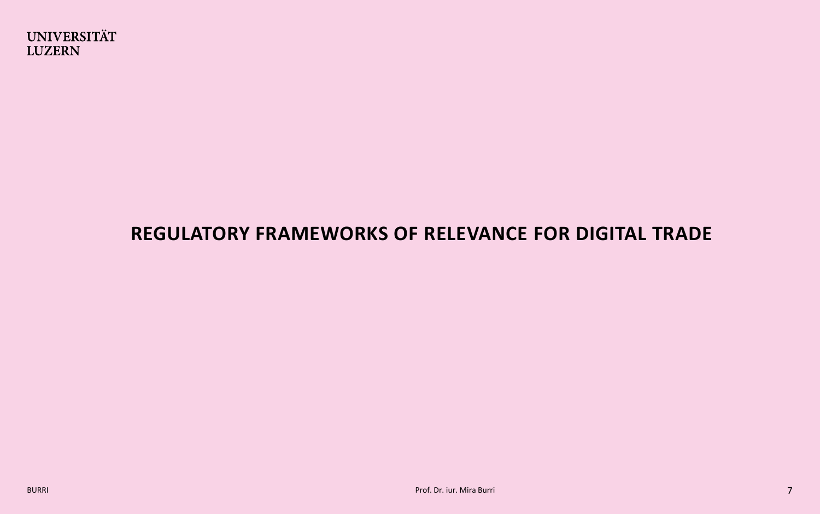

## **REGULATORY FRAMEWORKS OF RELEVANCE FOR DIGITAL TRADE**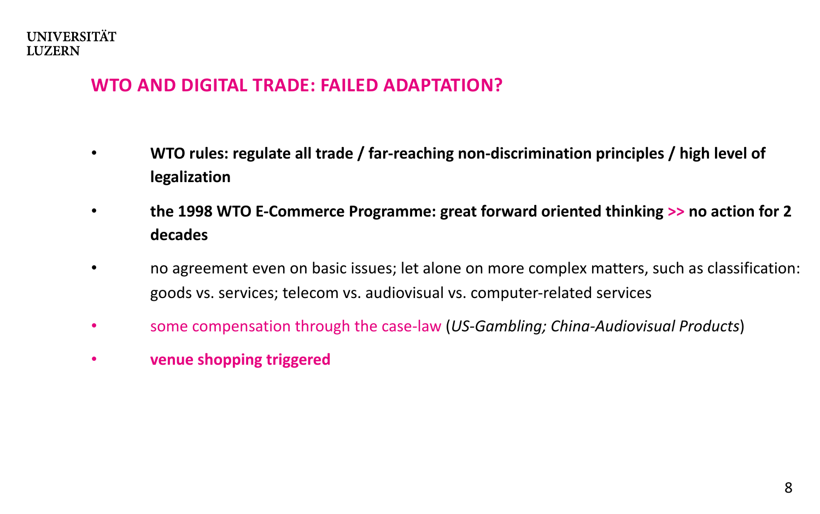#### **WTO AND DIGITAL TRADE: FAILED ADAPTATION?**

- **WTO rules: regulate all trade / far-reaching non-discrimination principles / high level of legalization**
- **the 1998 WTO E-Commerce Programme: great forward oriented thinking >> no action for 2 decades**
- no agreement even on basic issues; let alone on more complex matters, such as classification: goods vs. services; telecom vs. audiovisual vs. computer-related services
- some compensation through the case-law (*US-Gambling; China-Audiovisual Products*)
- **venue shopping triggered**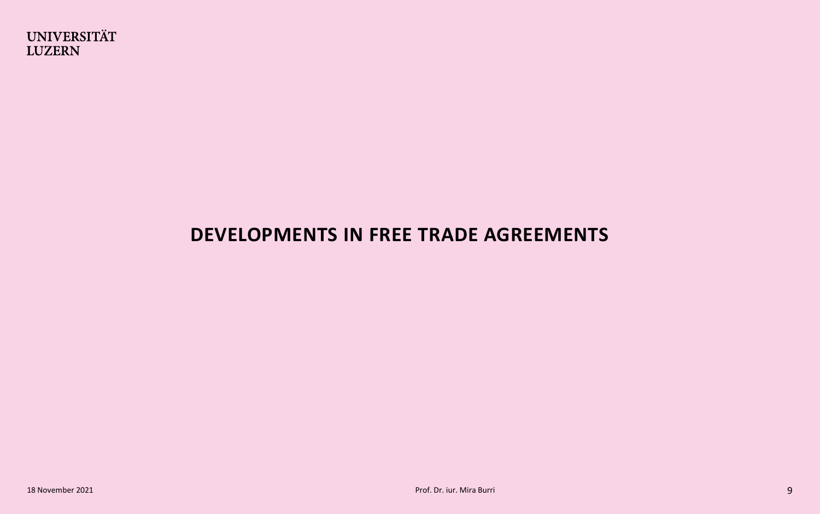

## **DEVELOPMENTS IN FREE TRADE AGREEMENTS**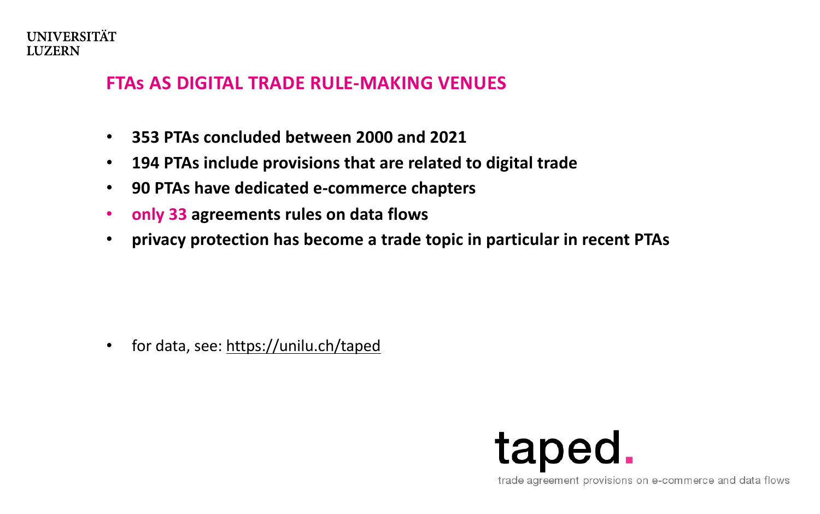#### **FTAs AS DIGITAL TRADE RULE-MAKING VENUES**

- **353 PTAs concluded between 2000 and 2021**
- **194 PTAs include provisions that are related to digital trade**
- **90 PTAs have dedicated e-commerce chapters**
- **only 33 agreements rules on data flows**
- **privacy protection has become a trade topic in particular in recent PTAs**

• for data, see: <https://unilu.ch/taped>



trade agreement provisions on e-commerce and data flows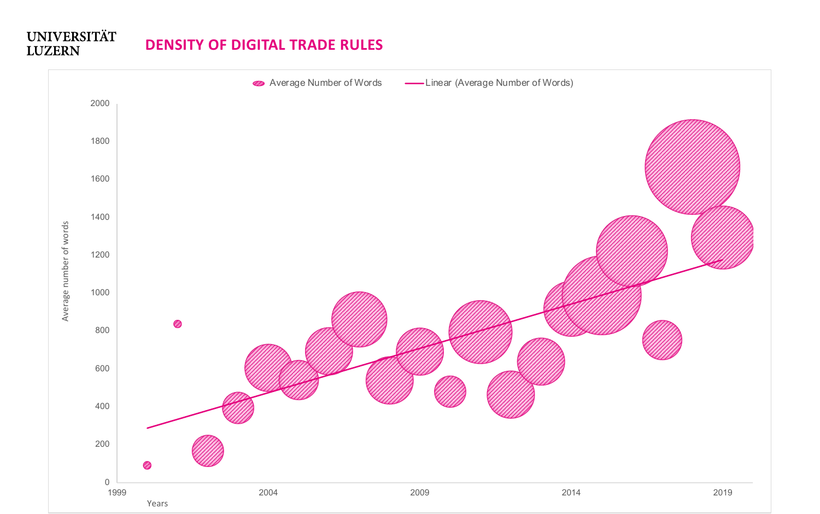#### **UNIVERSITÄT DENSITY OF DIGITAL TRADE RULESLUZERN**

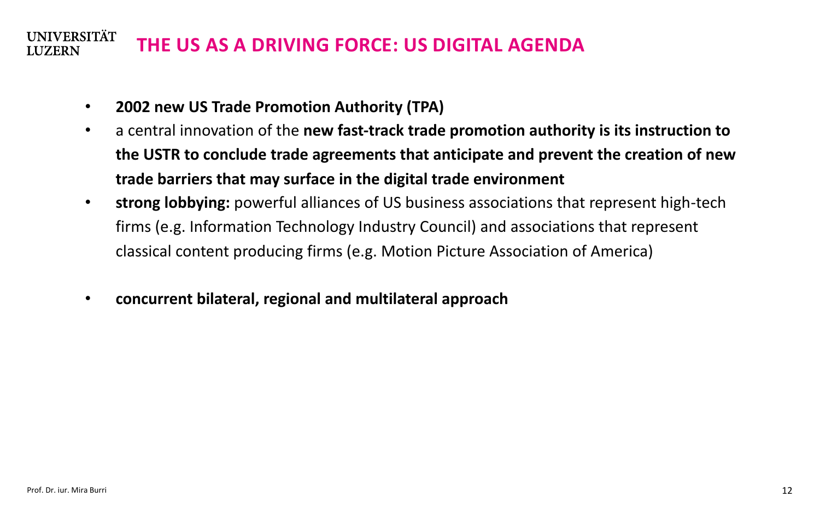#### **UNIVERSITÄT THE US AS A DRIVING FORCE: US DIGITAL AGENDA LUZERN**

- **2002 new US Trade Promotion Authority (TPA)**
- a central innovation of the **new fast-track trade promotion authority is its instruction to the USTR to conclude trade agreements that anticipate and prevent the creation of new trade barriers that may surface in the digital trade environment**
- **strong lobbying:** powerful alliances of US business associations that represent high-tech firms (e.g. Information Technology Industry Council) and associations that represent classical content producing firms (e.g. Motion Picture Association of America)
- **concurrent bilateral, regional and multilateral approach**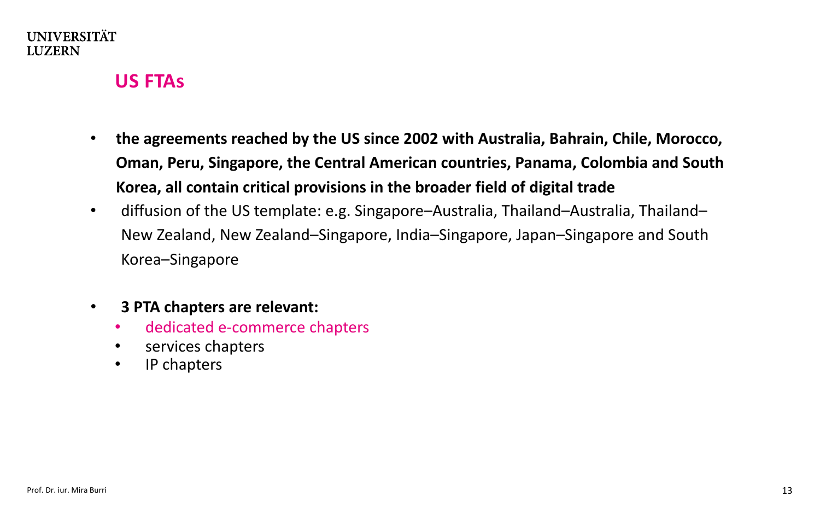#### **US FTAs**

- **the agreements reached by the US since 2002 with Australia, Bahrain, Chile, Morocco, Oman, Peru, Singapore, the Central American countries, Panama, Colombia and South Korea, all contain critical provisions in the broader field of digital trade**
- diffusion of the US template: e.g. Singapore–Australia, Thailand–Australia, Thailand– New Zealand, New Zealand–Singapore, India–Singapore, Japan–Singapore and South Korea–Singapore
- **3 PTA chapters are relevant:** 
	- dedicated e-commerce chapters
	- services chapters
	- IP chapters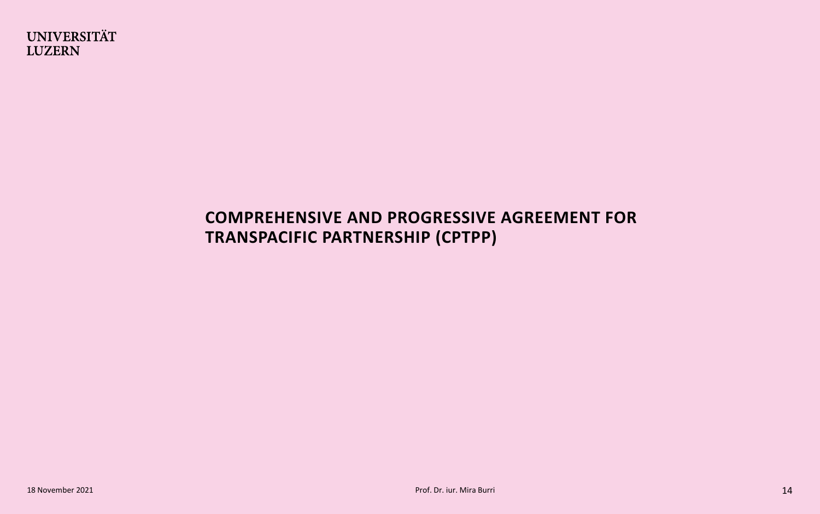#### **COMPREHENSIVE AND PROGRESSIVE AGREEMENT FOR TRANSPACIFIC PARTNERSHIP (CPTPP)**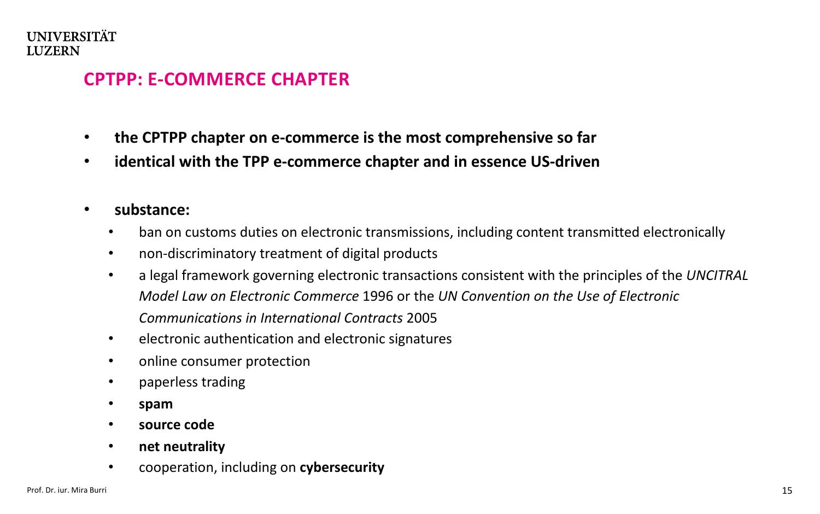### **CPTPP: E-COMMERCE CHAPTER**

- **the CPTPP chapter on e-commerce is the most comprehensive so far**
- **identical with the TPP e-commerce chapter and in essence US-driven**
- **substance:**
	- ban on customs duties on electronic transmissions, including content transmitted electronically
	- non-discriminatory treatment of digital products
	- a legal framework governing electronic transactions consistent with the principles of the *UNCITRAL Model Law on Electronic Commerce* 1996 or the *UN Convention on the Use of Electronic Communications in International Contracts* 2005
	- electronic authentication and electronic signatures
	- online consumer protection
	- paperless trading
	- **spam**
	- **source code**
	- **net neutrality**
	- cooperation, including on **cybersecurity**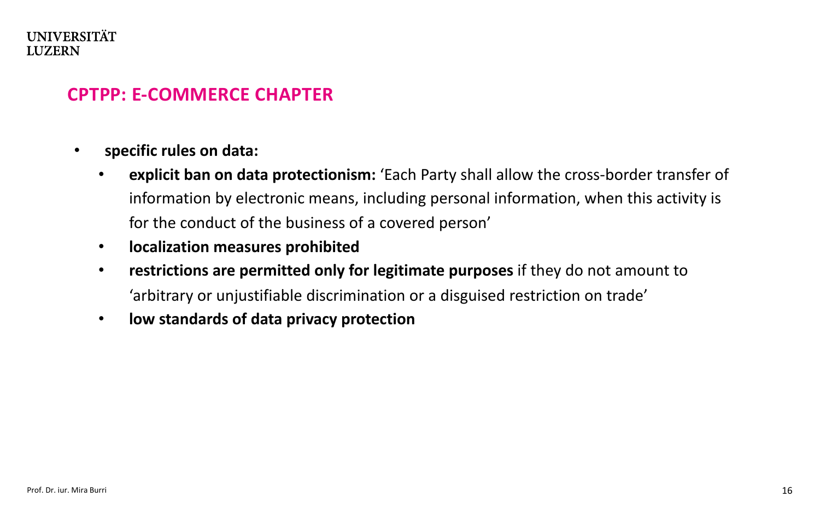#### **CPTPP: E-COMMERCE CHAPTER**

- **specific rules on data:**
	- **explicit ban on data protectionism:** 'Each Party shall allow the cross-border transfer of information by electronic means, including personal information, when this activity is for the conduct of the business of a covered person'
	- **localization measures prohibited**
	- **restrictions are permitted only for legitimate purposes** if they do not amount to 'arbitrary or unjustifiable discrimination or a disguised restriction on trade'
	- **low standards of data privacy protection**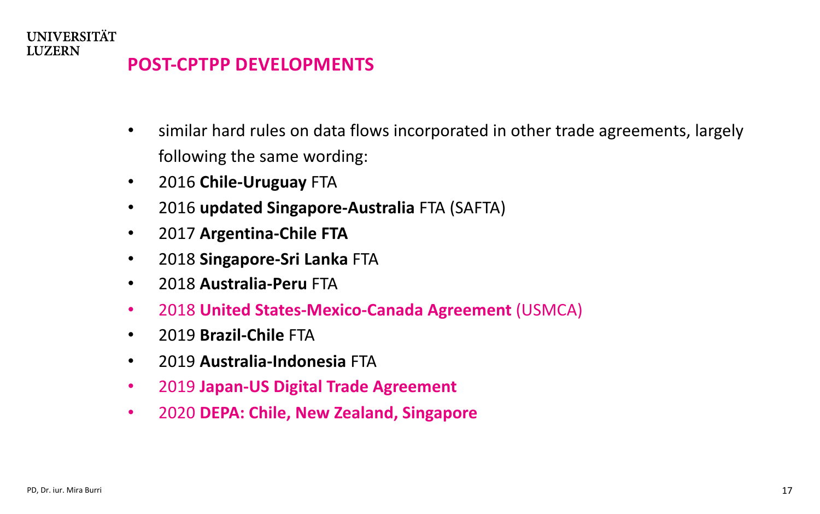- similar hard rules on data flows incorporated in other trade agreements, largely following the same wording:
- 2016 **Chile-Uruguay** FTA
- 2016 **updated Singapore-Australia** FTA (SAFTA)
- 2017 **Argentina-Chile FTA**
- 2018 **Singapore-Sri Lanka** FTA
- 2018 **Australia-Peru** FTA
- 2018 **United States-Mexico-Canada Agreement** (USMCA)
- 2019 **Brazil-Chile** FTA
- 2019 **Australia-Indonesia** FTA
- 2019 **Japan-US Digital Trade Agreement**
- 2020 **DEPA: Chile, New Zealand, Singapore**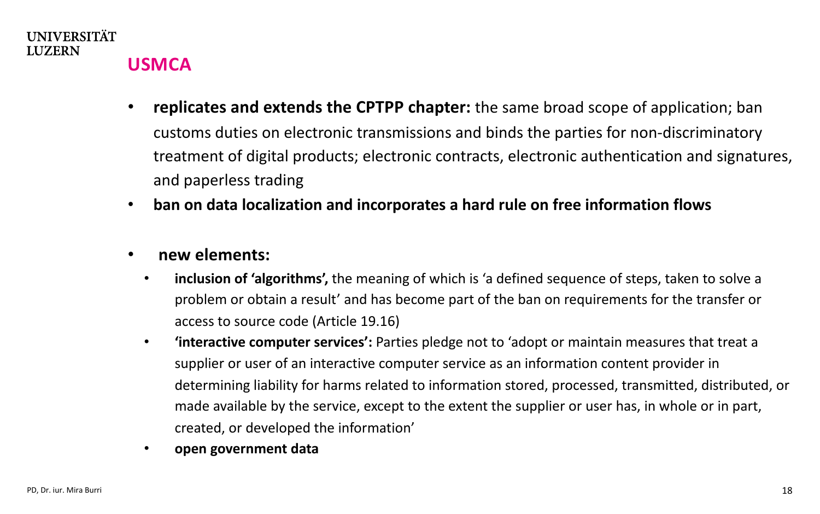

## **USMCA**

- **replicates and extends the CPTPP chapter:** the same broad scope of application; ban customs duties on electronic transmissions and binds the parties for non-discriminatory treatment of digital products; electronic contracts, electronic authentication and signatures, and paperless trading
- **ban on data localization and incorporates a hard rule on free information flows**
- **new elements:** 
	- **inclusion of 'algorithms',** the meaning of which is 'a defined sequence of steps, taken to solve a problem or obtain a result' and has become part of the ban on requirements for the transfer or access to source code (Article 19.16)
	- **'interactive computer services':** Parties pledge not to 'adopt or maintain measures that treat a supplier or user of an interactive computer service as an information content provider in determining liability for harms related to information stored, processed, transmitted, distributed, or made available by the service, except to the extent the supplier or user has, in whole or in part, created, or developed the information'
	- **open government data**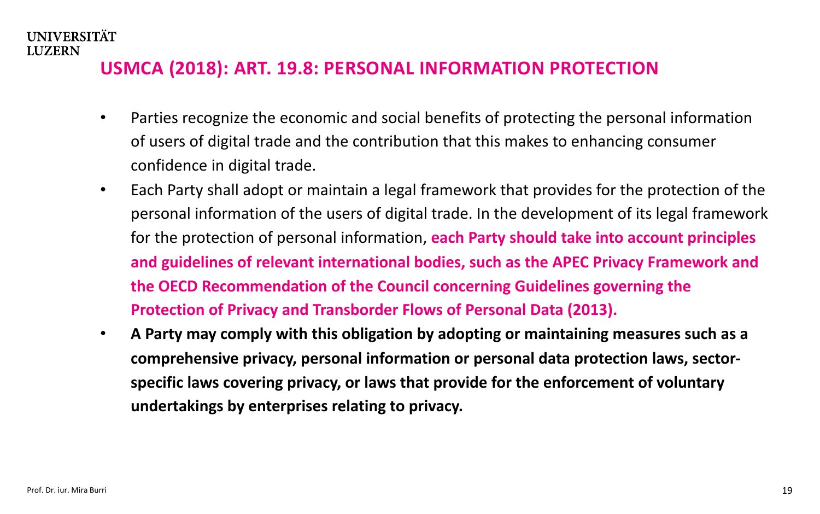### **USMCA (2018): ART. 19.8: PERSONAL INFORMATION PROTECTION**

- Parties recognize the economic and social benefits of protecting the personal information of users of digital trade and the contribution that this makes to enhancing consumer confidence in digital trade.
- Each Party shall adopt or maintain a legal framework that provides for the protection of the personal information of the users of digital trade. In the development of its legal framework for the protection of personal information, **each Party should take into account principles and guidelines of relevant international bodies, such as the APEC Privacy Framework and the OECD Recommendation of the Council concerning Guidelines governing the Protection of Privacy and Transborder Flows of Personal Data (2013).**
- **A Party may comply with this obligation by adopting or maintaining measures such as a comprehensive privacy, personal information or personal data protection laws, sectorspecific laws covering privacy, or laws that provide for the enforcement of voluntary undertakings by enterprises relating to privacy.**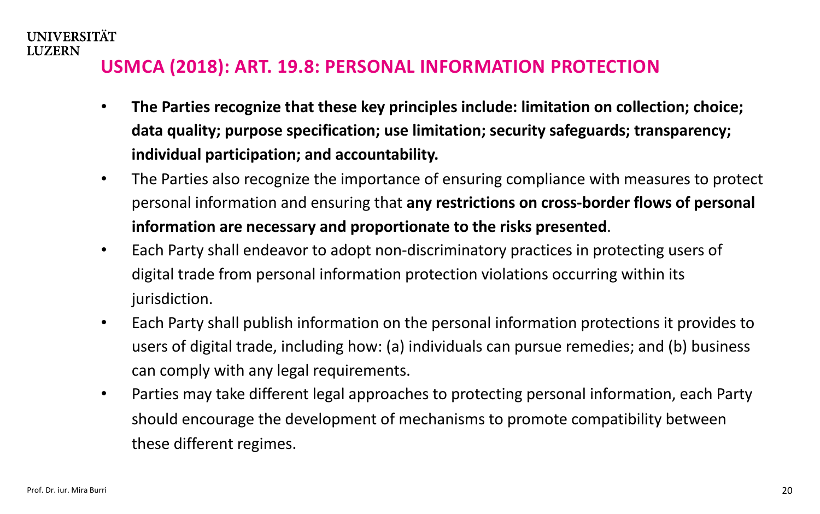### **USMCA (2018): ART. 19.8: PERSONAL INFORMATION PROTECTION**

- **The Parties recognize that these key principles include: limitation on collection; choice; data quality; purpose specification; use limitation; security safeguards; transparency; individual participation; and accountability.**
- The Parties also recognize the importance of ensuring compliance with measures to protect personal information and ensuring that **any restrictions on cross-border flows of personal information are necessary and proportionate to the risks presented**.
- Each Party shall endeavor to adopt non-discriminatory practices in protecting users of digital trade from personal information protection violations occurring within its jurisdiction.
- Each Party shall publish information on the personal information protections it provides to users of digital trade, including how: (a) individuals can pursue remedies; and (b) business can comply with any legal requirements.
- Parties may take different legal approaches to protecting personal information, each Party should encourage the development of mechanisms to promote compatibility between these different regimes.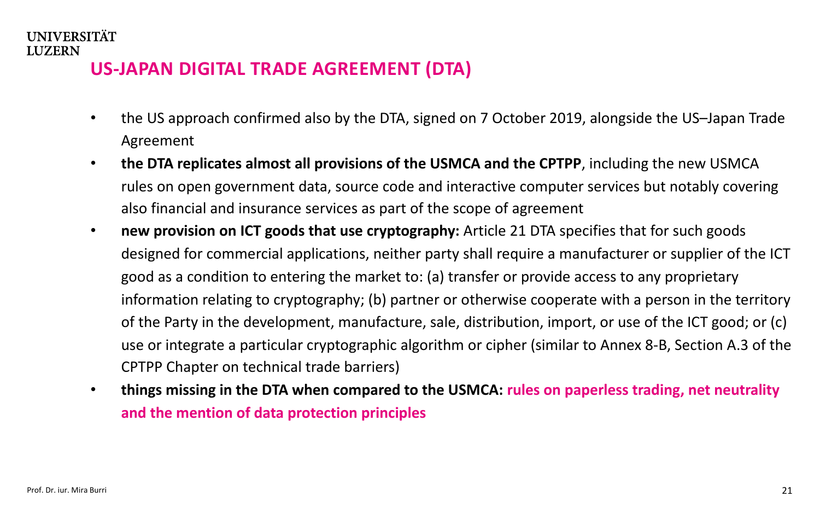## **US-JAPAN DIGITAL TRADE AGREEMENT (DTA)**

- the US approach confirmed also by the DTA, signed on 7 October 2019, alongside the US–Japan Trade Agreement
- **the DTA replicates almost all provisions of the USMCA and the CPTPP**, including the new USMCA rules on open government data, source code and interactive computer services but notably covering also financial and insurance services as part of the scope of agreement
- **new provision on ICT goods that use cryptography:** Article 21 DTA specifies that for such goods designed for commercial applications, neither party shall require a manufacturer or supplier of the ICT good as a condition to entering the market to: (a) transfer or provide access to any proprietary information relating to cryptography; (b) partner or otherwise cooperate with a person in the territory of the Party in the development, manufacture, sale, distribution, import, or use of the ICT good; or (c) use or integrate a particular cryptographic algorithm or cipher (similar to Annex 8-B, Section A.3 of the CPTPP Chapter on technical trade barriers)
- **things missing in the DTA when compared to the USMCA: rules on paperless trading, net neutrality and the mention of data protection principles**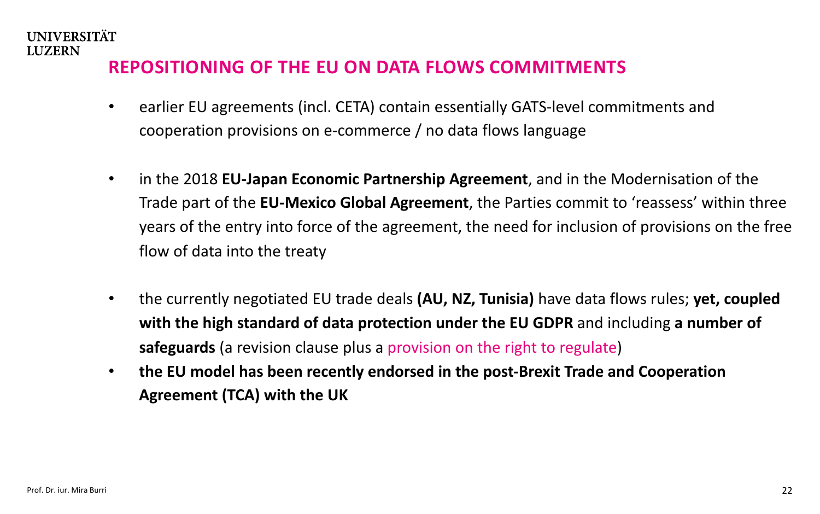#### **REPOSITIONING OF THE EU ON DATA FLOWS COMMITMENTS**

- earlier EU agreements (incl. CETA) contain essentially GATS-level commitments and cooperation provisions on e-commerce / no data flows language
- in the 2018 **EU-Japan Economic Partnership Agreement**, and in the Modernisation of the Trade part of the **EU-Mexico Global Agreement**, the Parties commit to 'reassess' within three years of the entry into force of the agreement, the need for inclusion of provisions on the free flow of data into the treaty
- the currently negotiated EU trade deals **(AU, NZ, Tunisia)** have data flows rules; **yet, coupled with the high standard of data protection under the EU GDPR** and including **a number of safeguards** (a revision clause plus a provision on the right to regulate)
- **the EU model has been recently endorsed in the post-Brexit Trade and Cooperation Agreement (TCA) with the UK**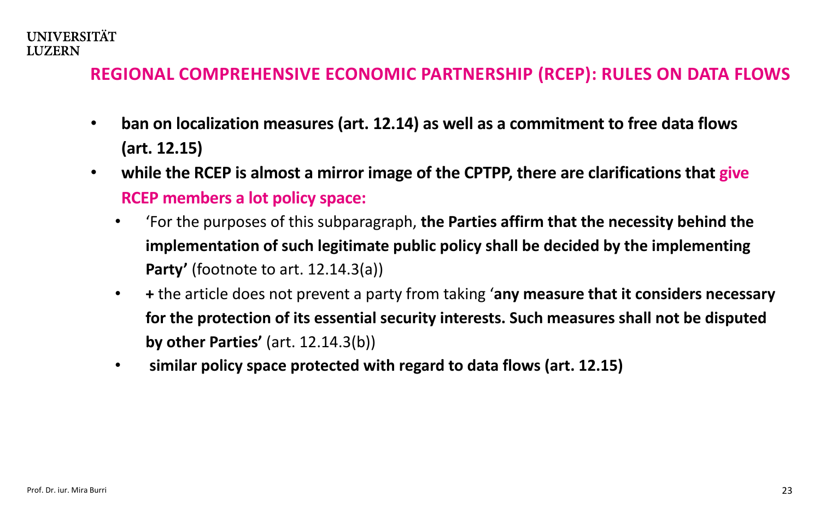#### **REGIONAL COMPREHENSIVE ECONOMIC PARTNERSHIP (RCEP): RULES ON DATA FLOWS**

- **ban on localization measures (art. 12.14) as well as a commitment to free data flows (art. 12.15)**
- **while the RCEP is almost a mirror image of the CPTPP, there are clarifications that give RCEP members a lot policy space:**
	- 'For the purposes of this subparagraph, **the Parties affirm that the necessity behind the implementation of such legitimate public policy shall be decided by the implementing Party'** (footnote to art. 12.14.3(a))
	- **+** the article does not prevent a party from taking '**any measure that it considers necessary for the protection of its essential security interests. Such measures shall not be disputed by other Parties'** (art. 12.14.3(b))
	- **similar policy space protected with regard to data flows (art. 12.15)**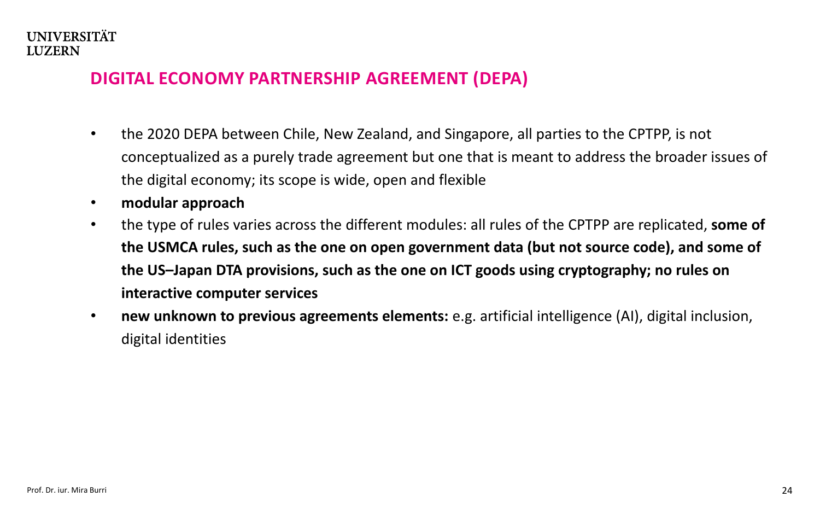#### **DIGITAL ECONOMY PARTNERSHIP AGREEMENT (DEPA)**

- the 2020 DEPA between Chile, New Zealand, and Singapore, all parties to the CPTPP, is not conceptualized as a purely trade agreement but one that is meant to address the broader issues of the digital economy; its scope is wide, open and flexible
- **modular approach**
- the type of rules varies across the different modules: all rules of the CPTPP are replicated, **some of the USMCA rules, such as the one on open government data (but not source code), and some of the US–Japan DTA provisions, such as the one on ICT goods using cryptography; no rules on interactive computer services**
- **new unknown to previous agreements elements:** e.g. artificial intelligence (AI), digital inclusion, digital identities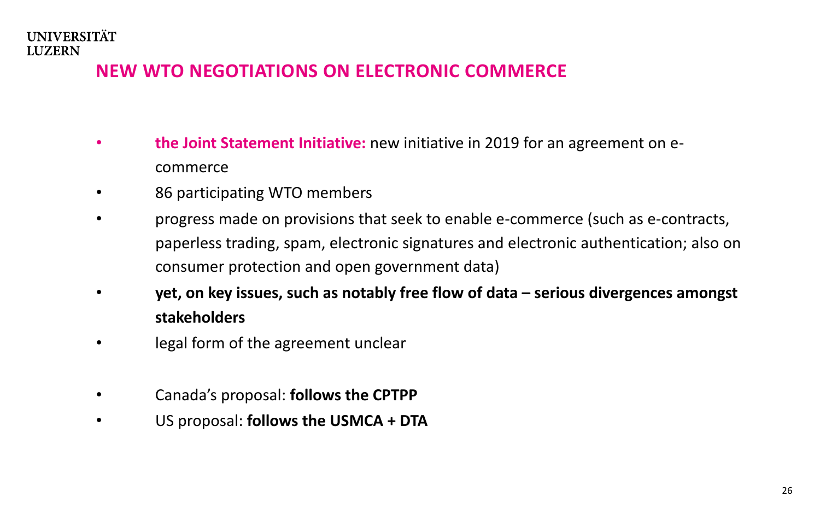## **NEW WTO NEGOTIATIONS ON ELECTRONIC COMMERCE**

- **the Joint Statement Initiative:** new initiative in 2019 for an agreement on ecommerce
- 86 participating WTO members
- progress made on provisions that seek to enable e-commerce (such as e-contracts, paperless trading, spam, electronic signatures and electronic authentication; also on consumer protection and open government data)
- **yet, on key issues, such as notably free flow of data – serious divergences amongst stakeholders**
- legal form of the agreement unclear
- Canada's proposal: **follows the CPTPP**
- US proposal: **follows the USMCA + DTA**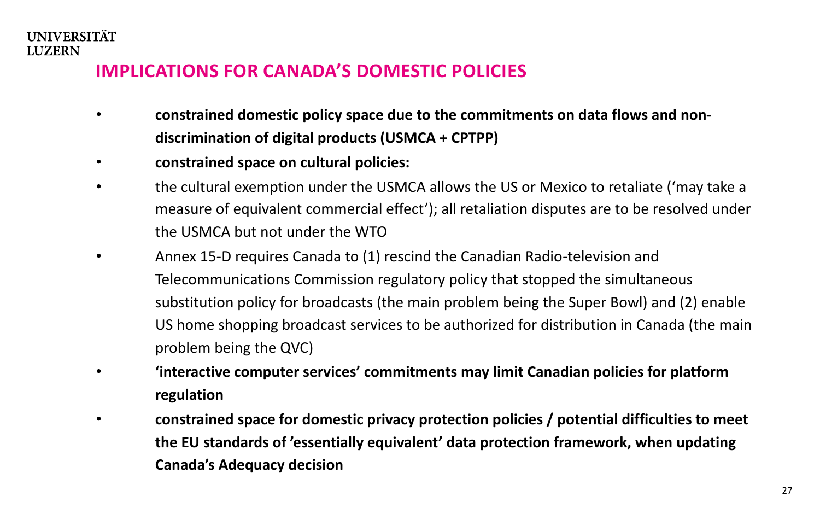### **IMPLICATIONS FOR CANADA'S DOMESTIC POLICIES**

- **constrained domestic policy space due to the commitments on data flows and nondiscrimination of digital products (USMCA + CPTPP)**
- **constrained space on cultural policies:**
- the cultural exemption under the USMCA allows the US or Mexico to retaliate ('may take a measure of equivalent commercial effect'); all retaliation disputes are to be resolved under the USMCA but not under the WTO
- Annex 15-D requires Canada to (1) rescind the Canadian Radio-television and Telecommunications Commission regulatory policy that stopped the simultaneous substitution policy for broadcasts (the main problem being the Super Bowl) and (2) enable US home shopping broadcast services to be authorized for distribution in Canada (the main problem being the QVC)
- **'interactive computer services' commitments may limit Canadian policies for platform regulation**
- **constrained space for domestic privacy protection policies / potential difficulties to meet the EU standards of 'essentially equivalent' data protection framework, when updating Canada's Adequacy decision**